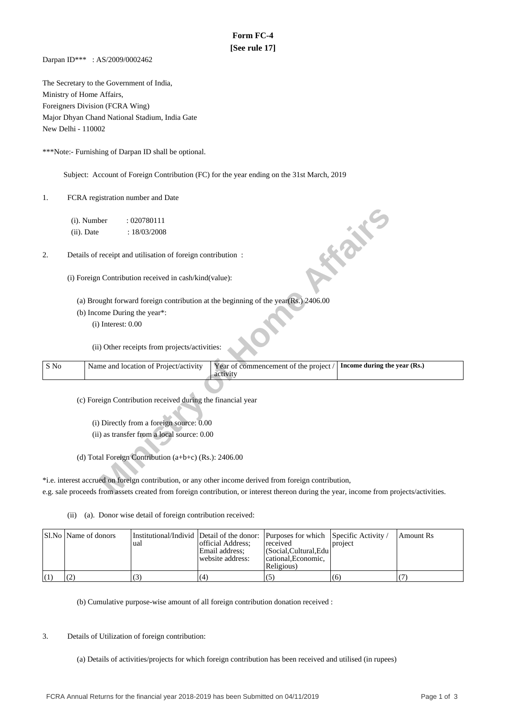## **Form FC-4 [See rule 17]**

Darpan ID\*\*\* : AS/2009/0002462

The Secretary to the Government of India, Ministry of Home Affairs, Foreigners Division (FCRA Wing) Major Dhyan Chand National Stadium, India Gate New Delhi - 110002

\*\*\*Note:- Furnishing of Darpan ID shall be optional.

Subject: Account of Foreign Contribution (FC) for the year ending on the 31st March, 2019

1. FCRA registration number and Date

- (a) Brought forward foreign contribution at the beginning of the year(Rs.) 2406.00
- (b) Income During the year\*:

|      | (i). Number   |                        | : 020780111                                                 |                                                                                                                                         |                              |
|------|---------------|------------------------|-------------------------------------------------------------|-----------------------------------------------------------------------------------------------------------------------------------------|------------------------------|
|      | $(ii)$ . Date |                        | : 18/03/2008                                                |                                                                                                                                         |                              |
| 2.   |               |                        | Details of receipt and utilisation of foreign contribution: |                                                                                                                                         | <b>FORE</b>                  |
|      |               |                        | (i) Foreign Contribution received in cash/kind(value):      |                                                                                                                                         |                              |
|      |               |                        |                                                             | (a) Brought forward foreign contribution at the beginning of the year $(Rs.)$ 2406.00                                                   |                              |
|      |               |                        | (b) Income During the year*:                                |                                                                                                                                         |                              |
|      |               | $(i)$ Interest: $0.00$ |                                                             |                                                                                                                                         |                              |
|      |               |                        |                                                             |                                                                                                                                         |                              |
|      |               |                        | (ii) Other receipts from projects/activities:               |                                                                                                                                         |                              |
| S No |               |                        | Name and location of Project/activity                       | Year of commencement of the project /<br>activity                                                                                       | Income during the year (Rs.) |
|      |               |                        |                                                             |                                                                                                                                         |                              |
|      |               |                        | (c) Foreign Contribution received during the financial year |                                                                                                                                         |                              |
|      |               |                        |                                                             |                                                                                                                                         |                              |
|      |               |                        | (i) Directly from a foreign source: 0.00                    |                                                                                                                                         |                              |
|      |               |                        | (ii) as transfer from a local source: 0.00                  |                                                                                                                                         |                              |
|      |               |                        |                                                             |                                                                                                                                         |                              |
|      |               |                        | (d) Total Foreign Contribution (a+b+c) (Rs.): 2406.00       |                                                                                                                                         |                              |
|      |               |                        |                                                             |                                                                                                                                         |                              |
|      |               |                        |                                                             | *i.e. interest accrued on foreign contribution, or any other income derived from foreign contribution,                                  |                              |
|      |               |                        |                                                             | e.g. sale proceeds from assets created from foreign contribution, or interest thereon during the year, income from projects/activities. |                              |

\*i.e. interest accrued on foreign contribution, or any other income derived from foreign contribution, e.g. sale proceeds from assets created from foreign contribution, or interest thereon during the year, income from projects/activities.

(ii) (a). Donor wise detail of foreign contribution received:

| Sl.No   Name of donors | ual | official Address:<br>Email address:<br>website address: | Institutional/Individ Detail of the donor: Purposes for which Specific Activity /<br>received<br>  (Social, Cultural, Edu<br>cational. Economic.<br>Religious) | project | Amount Rs |
|------------------------|-----|---------------------------------------------------------|----------------------------------------------------------------------------------------------------------------------------------------------------------------|---------|-----------|
|                        |     | (4)                                                     |                                                                                                                                                                | (6)     |           |

(b) Cumulative purpose-wise amount of all foreign contribution donation received :

3. Details of Utilization of foreign contribution:

(a) Details of activities/projects for which foreign contribution has been received and utilised (in rupees)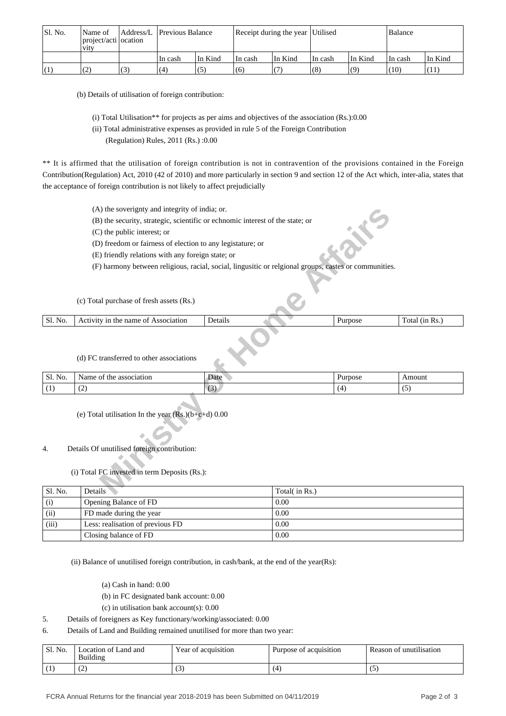| Sl. No. | Name of<br>project/acti ocation<br><b>V1tV</b> |   | Address/L Previous Balance |         | Receipt during the year Utilised |         |          |         | Balance |         |
|---------|------------------------------------------------|---|----------------------------|---------|----------------------------------|---------|----------|---------|---------|---------|
|         |                                                |   | In cash                    | In Kind | ∣In cash                         | In Kind | ∣In cash | In Kind | In cash | In Kind |
| (1)     |                                                | 3 | (4)                        |         | (6)                              |         | (8)      | (ባ)     | (10)    |         |

(b) Details of utilisation of foreign contribution:

- (i) Total Utilisation\*\* for projects as per aims and objectives of the association (Rs.):0.00
- (ii) Total administrative expenses as provided in rule 5 of the Foreign Contribution
	- (Regulation) Rules, 2011 (Rs.) :0.00

\*\* It is affirmed that the utilisation of foreign contribution is not in contravention of the provisions contained in the Foreign Contribution(Regulation) Act, 2010 (42 of 2010) and more particularly in section 9 and section 12 of the Act which, inter-alia, states that the acceptance of foreign contribution is not likely to affect prejudicially

- (A) the soverignty and integrity of india; or.
- (B) the security, strategic, scientific or echnomic interest of the state; or
- (C) the public interest; or
- (D) freedom or fairness of election to any legistature; or
- (E) friendly relations with any foreign state; or
- (F) harmony between religious, racial, social, lingusitic or relgional groups, castes or communities.

|         | (c) Total purchase of fresh assets (Rs.) |         |  |         |                |
|---------|------------------------------------------|---------|--|---------|----------------|
| Sl. No. | Activity in the name of Association      | Details |  | Purpose | Total (in Rs.) |
|         | (d) FC transferred to other associations |         |  |         |                |

## (d) FC transferred to other associations

|         | (A) the soverignty and integrity of india; or.                                                        |         |               |         |                |  |  |  |  |  |
|---------|-------------------------------------------------------------------------------------------------------|---------|---------------|---------|----------------|--|--|--|--|--|
|         | (B) the security, strategic, scientific or echnomic interest of the state; or                         |         |               |         |                |  |  |  |  |  |
|         | (C) the public interest; or                                                                           |         |               |         |                |  |  |  |  |  |
|         | (D) freedom or fairness of election to any legistature; or                                            |         |               |         |                |  |  |  |  |  |
|         | (E) friendly relations with any foreign state; or                                                     |         |               |         |                |  |  |  |  |  |
|         | (F) harmony between religious, racial, social, lingusitic or relgional groups, castes or communities. |         |               |         |                |  |  |  |  |  |
|         | (c) Total purchase of fresh assets (Rs.)                                                              |         |               |         |                |  |  |  |  |  |
| Sl. No. | Activity in the name of Association                                                                   | Details |               | Purpose | Total (in Rs.) |  |  |  |  |  |
|         | (d) FC transferred to other associations                                                              |         |               |         |                |  |  |  |  |  |
| Sl. No. | Name of the association                                                                               | Date    |               | Purpose | Amount         |  |  |  |  |  |
| (1)     | (2)                                                                                                   | (3)     |               | (4)     | (5)            |  |  |  |  |  |
| 4.      | (e) Total utilisation In the year $(Rs.)(b+c+d)$ 0.00<br>Details Of unutilised foreign contribution:  |         |               |         |                |  |  |  |  |  |
|         | (i) Total FC invested in term Deposits (Rs.):                                                         |         |               |         |                |  |  |  |  |  |
|         |                                                                                                       |         |               |         |                |  |  |  |  |  |
| Sl. No. | Details                                                                                               |         | Total(in Rs.) |         |                |  |  |  |  |  |

## 4. Details Of unutilised foreign contribution:

| Sl. No. | Details                          | Total( in Rs.) |
|---------|----------------------------------|----------------|
| (i)     | Opening Balance of FD            | 0.00           |
| (ii)    | FD made during the year          | 0.00           |
| (iii)   | Less: realisation of previous FD | 0.00           |
|         | Closing balance of FD            | 0.00           |

(ii) Balance of unutilised foreign contribution, in cash/bank, at the end of the year(Rs):

- (a) Cash in hand: 0.00
- (b) in FC designated bank account: 0.00
- (c) in utilisation bank account(s): 0.00
- 5. Details of foreigners as Key functionary/working/associated: 0.00
- 6. Details of Land and Building remained unutilised for more than two year:

| Sl. No.      | ocation of Land and<br>Building | Year of acquisition | .<br>Purpose of acquisition | $\cdots$<br>Reason of<br>unutilisation: ` |
|--------------|---------------------------------|---------------------|-----------------------------|-------------------------------------------|
| $\mathbf{r}$ | ے ،                             | ت                   | 4                           | ັ                                         |